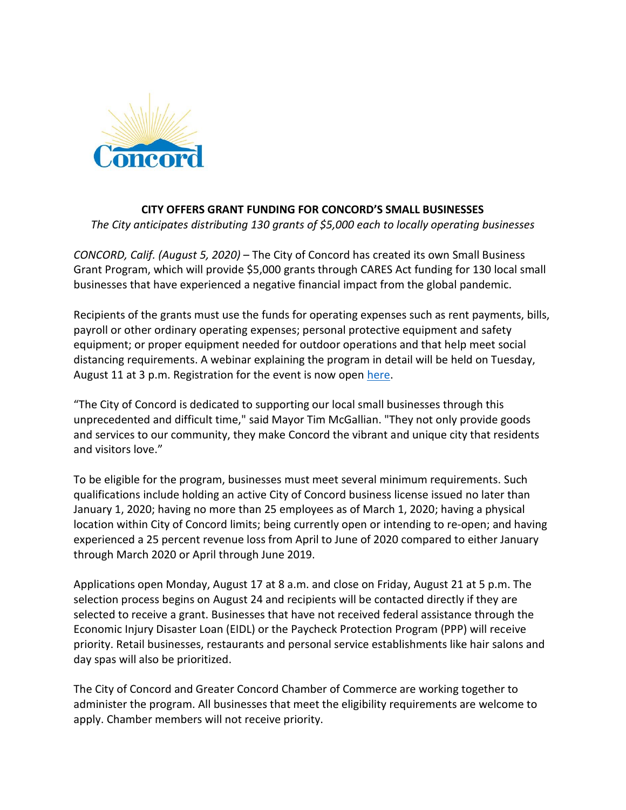

## **CITY OFFERS GRANT FUNDING FOR CONCORD'S SMALL BUSINESSES**

*The City anticipates distributing 130 grants of \$5,000 each to locally operating businesses*

*CONCORD, Calif. (August 5, 2020)* – The City of Concord has created its own Small Business Grant Program, which will provide \$5,000 grants through CARES Act funding for 130 local small businesses that have experienced a negative financial impact from the global pandemic.

Recipients of the grants must use the funds for operating expenses such as rent payments, bills, payroll or other ordinary operating expenses; personal protective equipment and safety equipment; or proper equipment needed for outdoor operations and that help meet social distancing requirements. A webinar explaining the program in detail will be held on Tuesday, August 11 at 3 p.m. Registration for the event is now open [here.](https://us02web.zoom.us/meeting/register/tZwrduGqqDwpH9PIBbYDjdDHvmYQIQLqKbGT)

"The City of Concord is dedicated to supporting our local small businesses through this unprecedented and difficult time," said Mayor Tim McGallian. "They not only provide goods and services to our community, they make Concord the vibrant and unique city that residents and visitors love."

To be eligible for the program, businesses must meet several minimum requirements. Such qualifications include holding an active City of Concord business license issued no later than January 1, 2020; having no more than 25 employees as of March 1, 2020; having a physical location within City of Concord limits; being currently open or intending to re-open; and having experienced a 25 percent revenue loss from April to June of 2020 compared to either January through March 2020 or April through June 2019.

Applications open Monday, August 17 at 8 a.m. and close on Friday, August 21 at 5 p.m. The selection process begins on August 24 and recipients will be contacted directly if they are selected to receive a grant. Businesses that have not received federal assistance through the Economic Injury Disaster Loan (EIDL) or the Paycheck Protection Program (PPP) will receive priority. Retail businesses, restaurants and personal service establishments like hair salons and day spas will also be prioritized.

The City of Concord and Greater Concord Chamber of Commerce are working together to administer the program. All businesses that meet the eligibility requirements are welcome to apply. Chamber members will not receive priority.